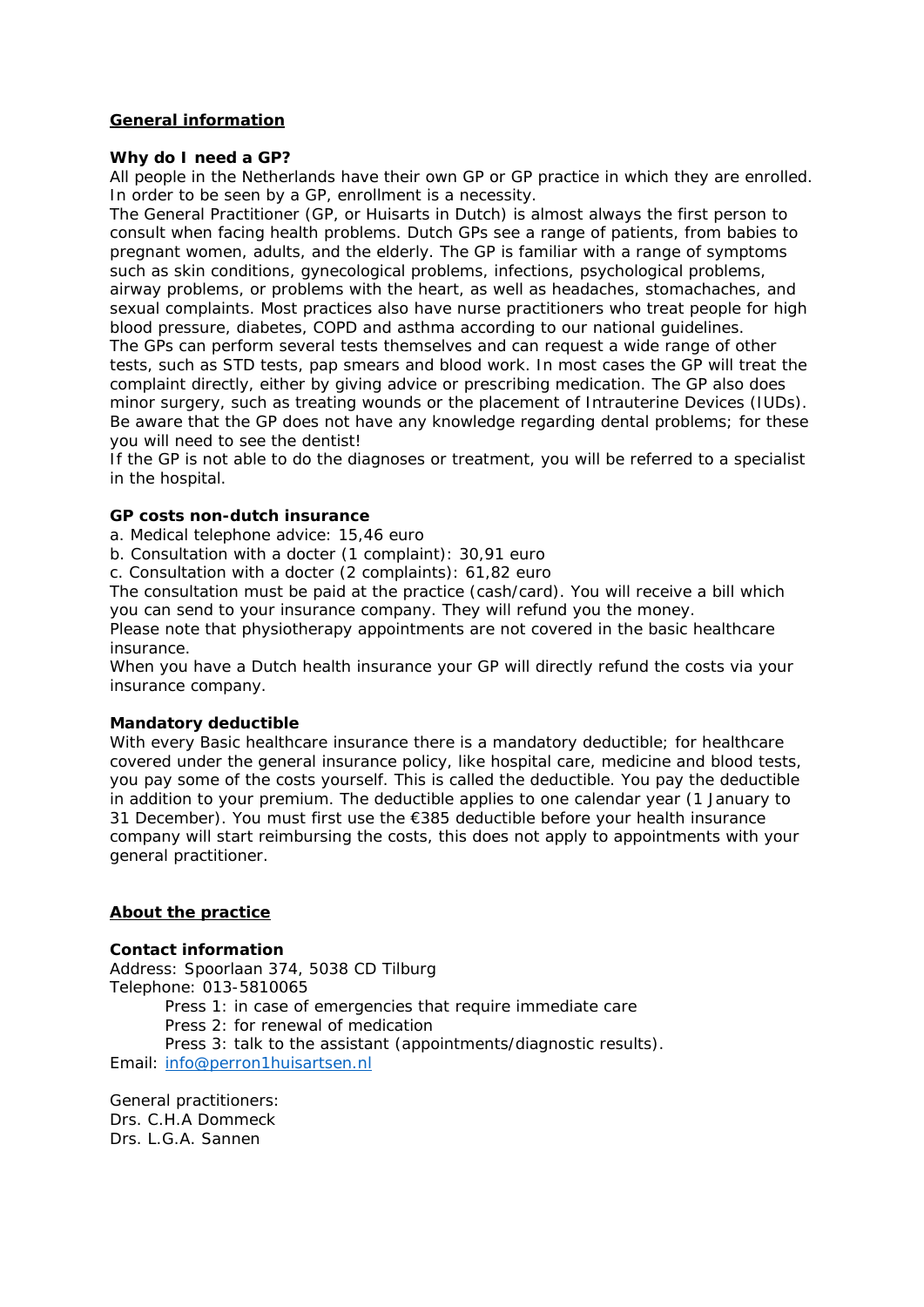# **General information**

### **Why do I need a GP?**

All people in the Netherlands have their own GP or GP practice in which they are enrolled. In order to be seen by a GP, enrollment is a necessity.

The General Practitioner (GP, or Huisarts in Dutch) is almost always the first person to consult when facing health problems. Dutch GPs see a range of patients, from babies to pregnant women, adults, and the elderly. The GP is familiar with a range of symptoms such as skin conditions, gynecological problems, infections, psychological problems, airway problems, or problems with the heart, as well as headaches, stomachaches, and sexual complaints. Most practices also have nurse practitioners who treat people for high blood pressure, diabetes, COPD and asthma according to our national guidelines. The GPs can perform several tests themselves and can request a wide range of other tests, such as STD tests, pap smears and blood work. In most cases the GP will treat the complaint directly, either by giving advice or prescribing medication. The GP also does minor surgery, such as treating wounds or the placement of Intrauterine Devices (IUDs). Be aware that the GP does not have any knowledge regarding dental problems; for these you will need to see the dentist!

If the GP is not able to do the diagnoses or treatment, you will be referred to a specialist in the hospital.

### **GP costs non-dutch insurance**

a. Medical telephone advice: 15,46 euro

b. Consultation with a docter (1 complaint): 30,91 euro

c. Consultation with a docter (2 complaints): 61,82 euro

The consultation must be paid at the practice (cash/card). You will receive a bill which you can send to your insurance company. They will refund you the money.

Please note that physiotherapy appointments are not covered in the basic healthcare insurance.

When you have a Dutch health insurance your GP will directly refund the costs via your insurance company.

## **Mandatory deductible**

With every Basic healthcare insurance there is a mandatory deductible; for healthcare covered under the general insurance policy, like hospital care, medicine and blood tests, you pay some of the costs yourself. This is called the deductible. You pay the deductible in addition to your premium. The deductible applies to one calendar year (1 January to 31 December). You must first use the €385 deductible before your health insurance company will start reimbursing the costs, this does not apply to appointments with your general practitioner.

# **About the practice**

## **Contact information**

Address: Spoorlaan 374, 5038 CD Tilburg Telephone: 013-5810065 *Press 1*: in case of emergencies that require immediate care *Press 2*: for renewal of medication *Press 3*: talk to the assistant (appointments/diagnostic results). Email: info@perron1huisartsen.nl

General practitioners: Drs. C.H.A Dommeck Drs. L.G.A. Sannen